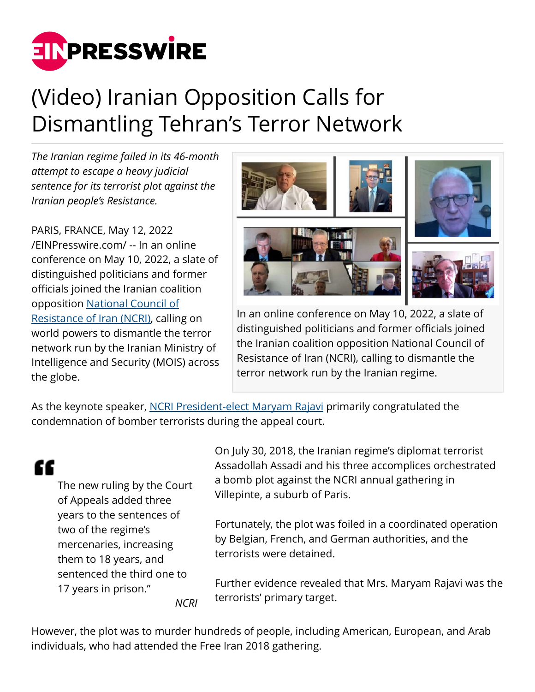

## (Video) Iranian Opposition Calls for Dismantling Tehran's Terror Network

*The Iranian regime failed in its 46-month attempt to escape a heavy judicial sentence for its terrorist plot against the Iranian people's Resistance.*

PARIS, FRANCE, May 12, 2022 [/EINPresswire.com/](http://www.einpresswire.com) -- In an online conference on May 10, 2022, a slate of distinguished politicians and former officials joined the Iranian coalition opposition [National Council of](https://www.ncr-iran.org/en/about-ncri/alternative/) [Resistance of Iran \(NCRI\)](https://www.ncr-iran.org/en/about-ncri/alternative/), calling on world powers to dismantle the terror network run by the Iranian Ministry of Intelligence and Security (MOIS) across the globe.



In an online conference on May 10, 2022, a slate of distinguished politicians and former officials joined the Iranian coalition opposition National Council of Resistance of Iran (NCRI), calling to dismantle the terror network run by the Iranian regime.

As the keynote speaker, [NCRI President-elect Maryam Rajavi](https://www.ncr-iran.org/en/maryam-rajavi/) primarily congratulated the condemnation of bomber terrorists during the appeal court.

## ſſ

The new ruling by the Court of Appeals added three years to the sentences of two of the regime's mercenaries, increasing them to 18 years, and sentenced the third one to 17 years in prison." *NCRI*

On July 30, 2018, the Iranian regime's diplomat terrorist Assadollah Assadi and his three accomplices orchestrated a bomb plot against the NCRI annual gathering in Villepinte, a suburb of Paris.

Fortunately, the plot was foiled in a coordinated operation by Belgian, French, and German authorities, and the terrorists were detained.

Further evidence revealed that Mrs. Maryam Rajavi was the terrorists' primary target.

However, the plot was to murder hundreds of people, including American, European, and Arab individuals, who had attended the Free Iran 2018 gathering.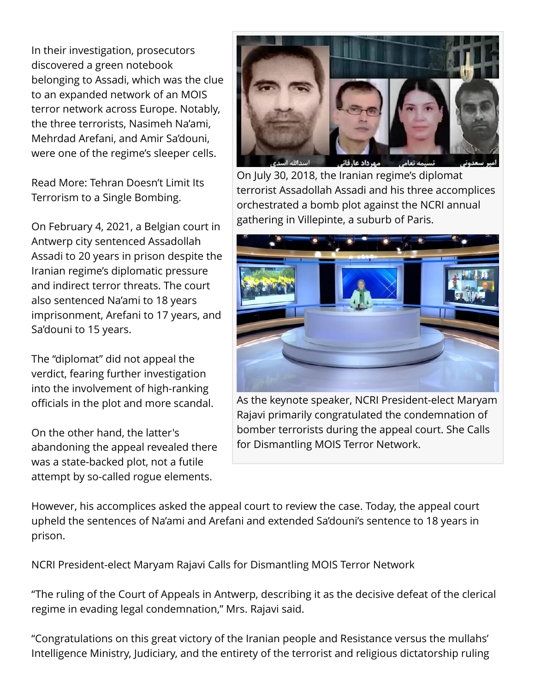In their investigation, prosecutors discovered a green notebook belonging to Assadi, which was the clue to an expanded network of an MOIS terror network across Europe. Notably, the three terrorists, Nasimeh Na'ami, Mehrdad Arefani, and Amir Sa'douni, were one of the regime's sleeper cells.

Read More: Tehran Doesn't Limit Its Terrorism to a Single Bombing.

On February 4, 2021, a Belgian court in Antwerp city sentenced Assadollah Assadi to 20 years in prison despite the Iranian regime's diplomatic pressure and indirect terror threats. The court also sentenced Na'ami to 18 years imprisonment, Arefani to 17 years, and Sa'douni to 15 years.

The "diplomat" did not appeal the verdict, fearing further investigation into the involvement of high-ranking officials in the plot and more scandal.

On the other hand, the latter's abandoning the appeal revealed there was a state-backed plot, not a futile attempt by so-called rogue elements.



On July 30, 2018, the Iranian regime's diplomat terrorist Assadollah Assadi and his three accomplices orchestrated a bomb plot against the NCRI annual gathering in Villepinte, a suburb of Paris.



As the keynote speaker, NCRI President-elect Maryam Rajavi primarily congratulated the condemnation of bomber terrorists during the appeal court. She Calls for Dismantling MOIS Terror Network.

However, his accomplices asked the appeal court to review the case. Today, the appeal court upheld the sentences of Na'ami and Arefani and extended Sa'douni's sentence to 18 years in prison.

NCRI President-elect Maryam Rajavi Calls for Dismantling MOIS Terror Network

"The ruling of the Court of Appeals in Antwerp, describing it as the decisive defeat of the clerical regime in evading legal condemnation," Mrs. Rajavi said.

"Congratulations on this great victory of the Iranian people and Resistance versus the mullahs' Intelligence Ministry, Judiciary, and the entirety of the terrorist and religious dictatorship ruling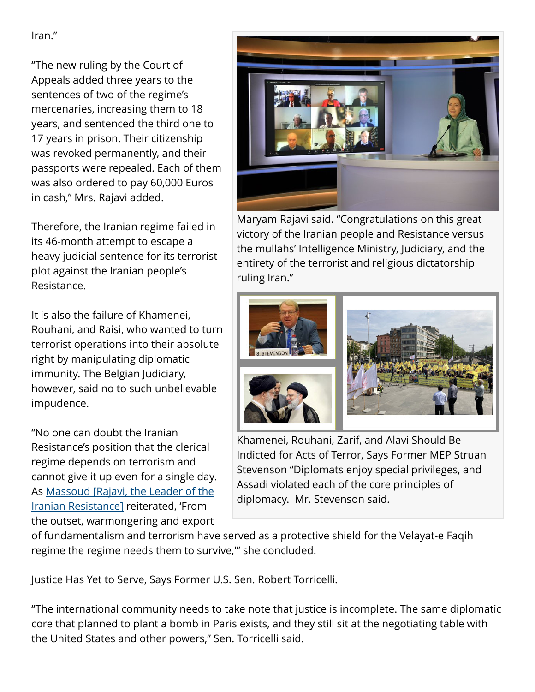Iran."

"The new ruling by the Court of Appeals added three years to the sentences of two of the regime's mercenaries, increasing them to 18 years, and sentenced the third one to 17 years in prison. Their citizenship was revoked permanently, and their passports were repealed. Each of them was also ordered to pay 60,000 Euros in cash," Mrs. Rajavi added.

Therefore, the Iranian regime failed in its 46-month attempt to escape a heavy judicial sentence for its terrorist plot against the Iranian people's Resistance.

It is also the failure of Khamenei, Rouhani, and Raisi, who wanted to turn terrorist operations into their absolute right by manipulating diplomatic immunity. The Belgian Judiciary, however, said no to such unbelievable impudence.

"No one can doubt the Iranian Resistance's position that the clerical regime depends on terrorism and cannot give it up even for a single day. As [Massoud \[Rajavi, the Leader of the](https://www.ncr-iran.org/en/massoud-rajavi/) [Iranian Resistance\]](https://www.ncr-iran.org/en/massoud-rajavi/) reiterated, 'From the outset, warmongering and export



Maryam Rajavi said. "Congratulations on this great victory of the Iranian people and Resistance versus the mullahs' Intelligence Ministry, Judiciary, and the entirety of the terrorist and religious dictatorship ruling Iran."



Khamenei, Rouhani, Zarif, and Alavi Should Be Indicted for Acts of Terror, Says Former MEP Struan Stevenson "Diplomats enjoy special privileges, and Assadi violated each of the core principles of diplomacy. Mr. Stevenson said.

of fundamentalism and terrorism have served as a protective shield for the Velayat-e Faqih regime the regime needs them to survive,'" she concluded.

Justice Has Yet to Serve, Says Former U.S. Sen. Robert Torricelli.

"The international community needs to take note that justice is incomplete. The same diplomatic core that planned to plant a bomb in Paris exists, and they still sit at the negotiating table with the United States and other powers," Sen. Torricelli said.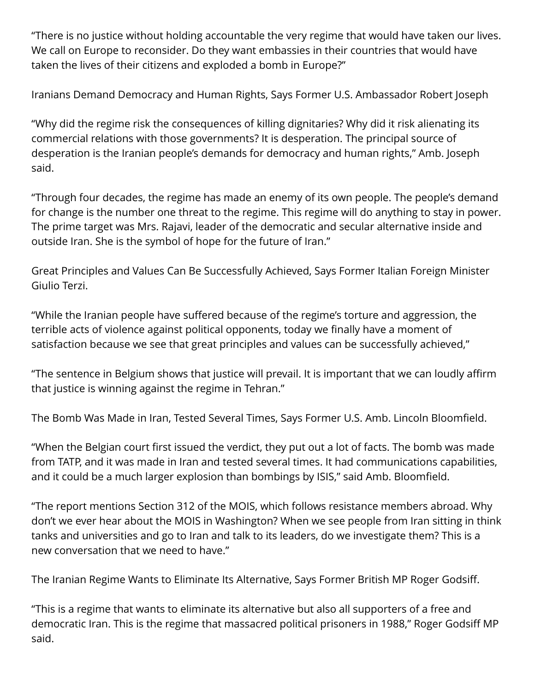"There is no justice without holding accountable the very regime that would have taken our lives. We call on Europe to reconsider. Do they want embassies in their countries that would have taken the lives of their citizens and exploded a bomb in Europe?"

Iranians Demand Democracy and Human Rights, Says Former U.S. Ambassador Robert Joseph

"Why did the regime risk the consequences of killing dignitaries? Why did it risk alienating its commercial relations with those governments? It is desperation. The principal source of desperation is the Iranian people's demands for democracy and human rights," Amb. Joseph said.

"Through four decades, the regime has made an enemy of its own people. The people's demand for change is the number one threat to the regime. This regime will do anything to stay in power. The prime target was Mrs. Rajavi, leader of the democratic and secular alternative inside and outside Iran. She is the symbol of hope for the future of Iran."

Great Principles and Values Can Be Successfully Achieved, Says Former Italian Foreign Minister Giulio Terzi.

"While the Iranian people have suffered because of the regime's torture and aggression, the terrible acts of violence against political opponents, today we finally have a moment of satisfaction because we see that great principles and values can be successfully achieved,"

"The sentence in Belgium shows that justice will prevail. It is important that we can loudly affirm that justice is winning against the regime in Tehran."

The Bomb Was Made in Iran, Tested Several Times, Says Former U.S. Amb. Lincoln Bloomfield.

"When the Belgian court first issued the verdict, they put out a lot of facts. The bomb was made from TATP, and it was made in Iran and tested several times. It had communications capabilities, and it could be a much larger explosion than bombings by ISIS," said Amb. Bloomfield.

"The report mentions Section 312 of the MOIS, which follows resistance members abroad. Why don't we ever hear about the MOIS in Washington? When we see people from Iran sitting in think tanks and universities and go to Iran and talk to its leaders, do we investigate them? This is a new conversation that we need to have."

The Iranian Regime Wants to Eliminate Its Alternative, Says Former British MP Roger Godsiff.

"This is a regime that wants to eliminate its alternative but also all supporters of a free and democratic Iran. This is the regime that massacred political prisoners in 1988," Roger Godsiff MP said.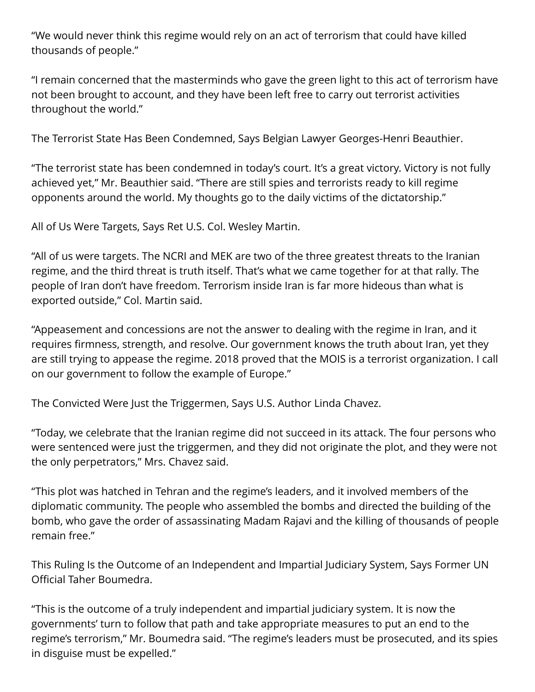"We would never think this regime would rely on an act of terrorism that could have killed thousands of people."

"I remain concerned that the masterminds who gave the green light to this act of terrorism have not been brought to account, and they have been left free to carry out terrorist activities throughout the world."

The Terrorist State Has Been Condemned, Says Belgian Lawyer Georges-Henri Beauthier.

"The terrorist state has been condemned in today's court. It's a great victory. Victory is not fully achieved yet," Mr. Beauthier said. "There are still spies and terrorists ready to kill regime opponents around the world. My thoughts go to the daily victims of the dictatorship."

All of Us Were Targets, Says Ret U.S. Col. Wesley Martin.

"All of us were targets. The NCRI and MEK are two of the three greatest threats to the Iranian regime, and the third threat is truth itself. That's what we came together for at that rally. The people of Iran don't have freedom. Terrorism inside Iran is far more hideous than what is exported outside," Col. Martin said.

"Appeasement and concessions are not the answer to dealing with the regime in Iran, and it requires firmness, strength, and resolve. Our government knows the truth about Iran, yet they are still trying to appease the regime. 2018 proved that the MOIS is a terrorist organization. I call on our government to follow the example of Europe."

The Convicted Were Just the Triggermen, Says U.S. Author Linda Chavez.

"Today, we celebrate that the Iranian regime did not succeed in its attack. The four persons who were sentenced were just the triggermen, and they did not originate the plot, and they were not the only perpetrators," Mrs. Chavez said.

"This plot was hatched in Tehran and the regime's leaders, and it involved members of the diplomatic community. The people who assembled the bombs and directed the building of the bomb, who gave the order of assassinating Madam Rajavi and the killing of thousands of people remain free."

This Ruling Is the Outcome of an Independent and Impartial Judiciary System, Says Former UN Official Taher Boumedra.

"This is the outcome of a truly independent and impartial judiciary system. It is now the governments' turn to follow that path and take appropriate measures to put an end to the regime's terrorism," Mr. Boumedra said. "The regime's leaders must be prosecuted, and its spies in disguise must be expelled."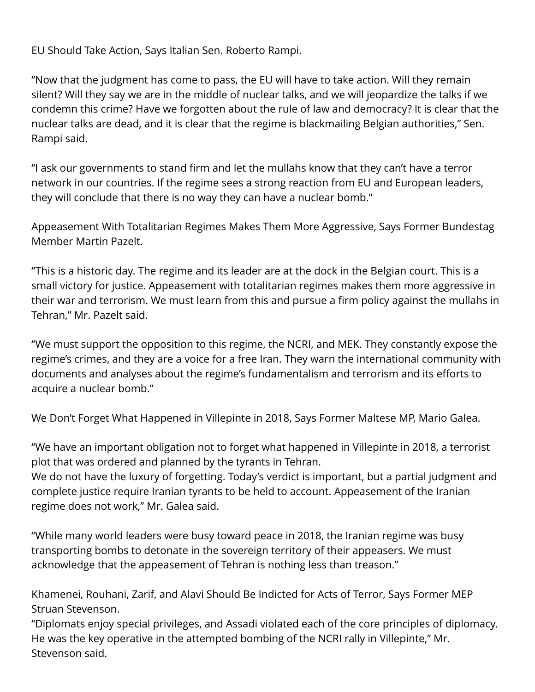EU Should Take Action, Says Italian Sen. Roberto Rampi.

"Now that the judgment has come to pass, the EU will have to take action. Will they remain silent? Will they say we are in the middle of nuclear talks, and we will jeopardize the talks if we condemn this crime? Have we forgotten about the rule of law and democracy? It is clear that the nuclear talks are dead, and it is clear that the regime is blackmailing Belgian authorities," Sen. Rampi said.

"I ask our governments to stand firm and let the mullahs know that they can't have a terror network in our countries. If the regime sees a strong reaction from EU and European leaders, they will conclude that there is no way they can have a nuclear bomb."

Appeasement With Totalitarian Regimes Makes Them More Aggressive, Says Former Bundestag Member Martin Pazelt.

"This is a historic day. The regime and its leader are at the dock in the Belgian court. This is a small victory for justice. Appeasement with totalitarian regimes makes them more aggressive in their war and terrorism. We must learn from this and pursue a firm policy against the mullahs in Tehran," Mr. Pazelt said.

"We must support the opposition to this regime, the NCRI, and MEK. They constantly expose the regime's crimes, and they are a voice for a free Iran. They warn the international community with documents and analyses about the regime's fundamentalism and terrorism and its efforts to acquire a nuclear bomb."

We Don't Forget What Happened in Villepinte in 2018, Says Former Maltese MP, Mario Galea.

"We have an important obligation not to forget what happened in Villepinte in 2018, a terrorist plot that was ordered and planned by the tyrants in Tehran.

We do not have the luxury of forgetting. Today's verdict is important, but a partial judgment and complete justice require Iranian tyrants to be held to account. Appeasement of the Iranian regime does not work," Mr. Galea said.

"While many world leaders were busy toward peace in 2018, the Iranian regime was busy transporting bombs to detonate in the sovereign territory of their appeasers. We must acknowledge that the appeasement of Tehran is nothing less than treason."

Khamenei, Rouhani, Zarif, and Alavi Should Be Indicted for Acts of Terror, Says Former MEP Struan Stevenson.

"Diplomats enjoy special privileges, and Assadi violated each of the core principles of diplomacy. He was the key operative in the attempted bombing of the NCRI rally in Villepinte," Mr. Stevenson said.